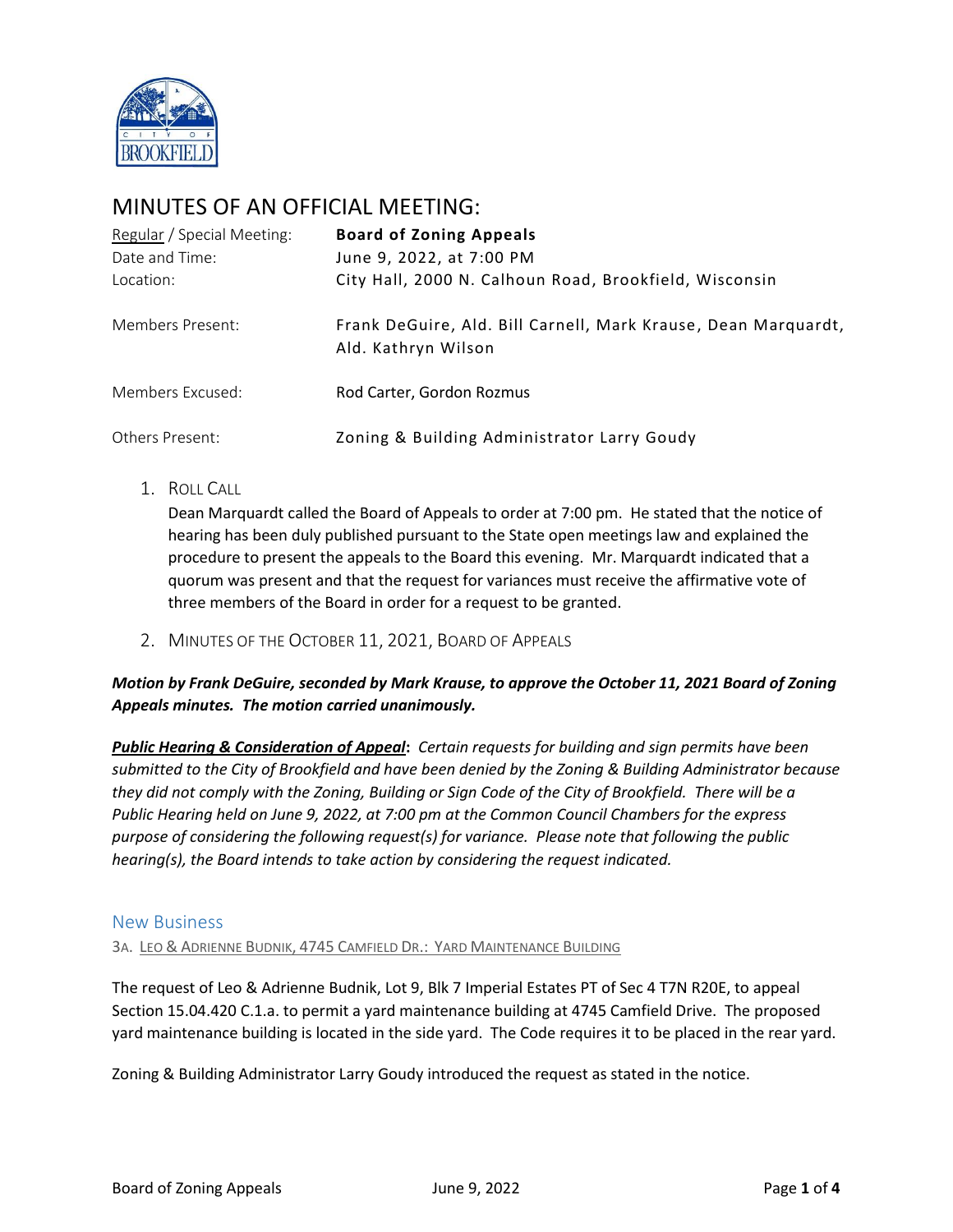

# MINUTES OF AN OFFICIAL MEETING:

| Regular / Special Meeting: | <b>Board of Zoning Appeals</b>                                                        |
|----------------------------|---------------------------------------------------------------------------------------|
| Date and Time:             | June 9, 2022, at 7:00 PM                                                              |
| Location:                  | City Hall, 2000 N. Calhoun Road, Brookfield, Wisconsin                                |
| Members Present:           | Frank DeGuire, Ald. Bill Carnell, Mark Krause, Dean Marquardt,<br>Ald. Kathryn Wilson |
| Members Excused:           | Rod Carter, Gordon Rozmus                                                             |
| Others Present:            | Zoning & Building Administrator Larry Goudy                                           |

1. ROLL CALL

Dean Marquardt called the Board of Appeals to order at 7:00 pm. He stated that the notice of hearing has been duly published pursuant to the State open meetings law and explained the procedure to present the appeals to the Board this evening. Mr. Marquardt indicated that a quorum was present and that the request for variances must receive the affirmative vote of three members of the Board in order for a request to be granted.

2. MINUTES OF THE OCTOBER 11, 2021, BOARD OF APPEALS

## *Motion by Frank DeGuire, seconded by Mark Krause, to approve the October 11, 2021 Board of Zoning Appeals minutes. The motion carried unanimously.*

*Public Hearing & Consideration of Appeal***:** *Certain requests for building and sign permits have been submitted to the City of Brookfield and have been denied by the Zoning & Building Administrator because they did not comply with the Zoning, Building or Sign Code of the City of Brookfield. There will be a Public Hearing held on June 9, 2022, at 7:00 pm at the Common Council Chambers for the express purpose of considering the following request(s) for variance. Please note that following the public hearing(s), the Board intends to take action by considering the request indicated.*

#### New Business

3A. LEO & ADRIENNE BUDNIK, 4745 CAMFIELD DR.: YARD MAINTENANCE BUILDING

The request of Leo & Adrienne Budnik, Lot 9, Blk 7 Imperial Estates PT of Sec 4 T7N R20E, to appeal Section 15.04.420 C.1.a. to permit a yard maintenance building at 4745 Camfield Drive. The proposed yard maintenance building is located in the side yard. The Code requires it to be placed in the rear yard.

Zoning & Building Administrator Larry Goudy introduced the request as stated in the notice.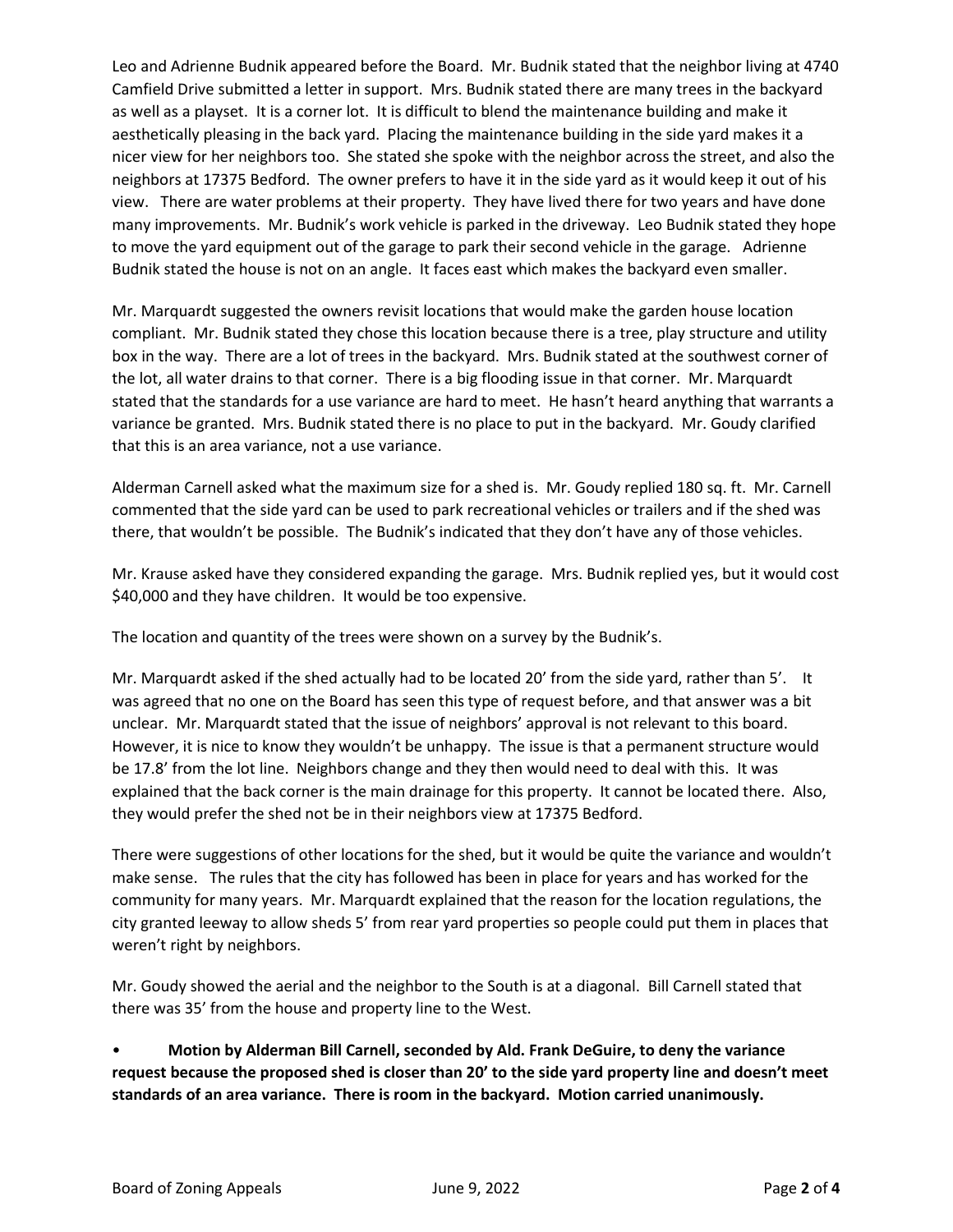Leo and Adrienne Budnik appeared before the Board. Mr. Budnik stated that the neighbor living at 4740 Camfield Drive submitted a letter in support. Mrs. Budnik stated there are many trees in the backyard as well as a playset. It is a corner lot. It is difficult to blend the maintenance building and make it aesthetically pleasing in the back yard. Placing the maintenance building in the side yard makes it a nicer view for her neighbors too. She stated she spoke with the neighbor across the street, and also the neighbors at 17375 Bedford. The owner prefers to have it in the side yard as it would keep it out of his view. There are water problems at their property. They have lived there for two years and have done many improvements. Mr. Budnik's work vehicle is parked in the driveway. Leo Budnik stated they hope to move the yard equipment out of the garage to park their second vehicle in the garage. Adrienne Budnik stated the house is not on an angle. It faces east which makes the backyard even smaller.

Mr. Marquardt suggested the owners revisit locations that would make the garden house location compliant. Mr. Budnik stated they chose this location because there is a tree, play structure and utility box in the way. There are a lot of trees in the backyard. Mrs. Budnik stated at the southwest corner of the lot, all water drains to that corner. There is a big flooding issue in that corner. Mr. Marquardt stated that the standards for a use variance are hard to meet. He hasn't heard anything that warrants a variance be granted. Mrs. Budnik stated there is no place to put in the backyard. Mr. Goudy clarified that this is an area variance, not a use variance.

Alderman Carnell asked what the maximum size for a shed is. Mr. Goudy replied 180 sq. ft. Mr. Carnell commented that the side yard can be used to park recreational vehicles or trailers and if the shed was there, that wouldn't be possible. The Budnik's indicated that they don't have any of those vehicles.

Mr. Krause asked have they considered expanding the garage. Mrs. Budnik replied yes, but it would cost \$40,000 and they have children. It would be too expensive.

The location and quantity of the trees were shown on a survey by the Budnik's.

Mr. Marquardt asked if the shed actually had to be located 20' from the side yard, rather than 5'. It was agreed that no one on the Board has seen this type of request before, and that answer was a bit unclear. Mr. Marquardt stated that the issue of neighbors' approval is not relevant to this board. However, it is nice to know they wouldn't be unhappy. The issue is that a permanent structure would be 17.8' from the lot line. Neighbors change and they then would need to deal with this. It was explained that the back corner is the main drainage for this property. It cannot be located there. Also, they would prefer the shed not be in their neighbors view at 17375 Bedford.

There were suggestions of other locations for the shed, but it would be quite the variance and wouldn't make sense. The rules that the city has followed has been in place for years and has worked for the community for many years. Mr. Marquardt explained that the reason for the location regulations, the city granted leeway to allow sheds 5' from rear yard properties so people could put them in places that weren't right by neighbors.

Mr. Goudy showed the aerial and the neighbor to the South is at a diagonal. Bill Carnell stated that there was 35' from the house and property line to the West.

• **Motion by Alderman Bill Carnell, seconded by Ald. Frank DeGuire, to deny the variance request because the proposed shed is closer than 20' to the side yard property line and doesn't meet standards of an area variance. There is room in the backyard. Motion carried unanimously.**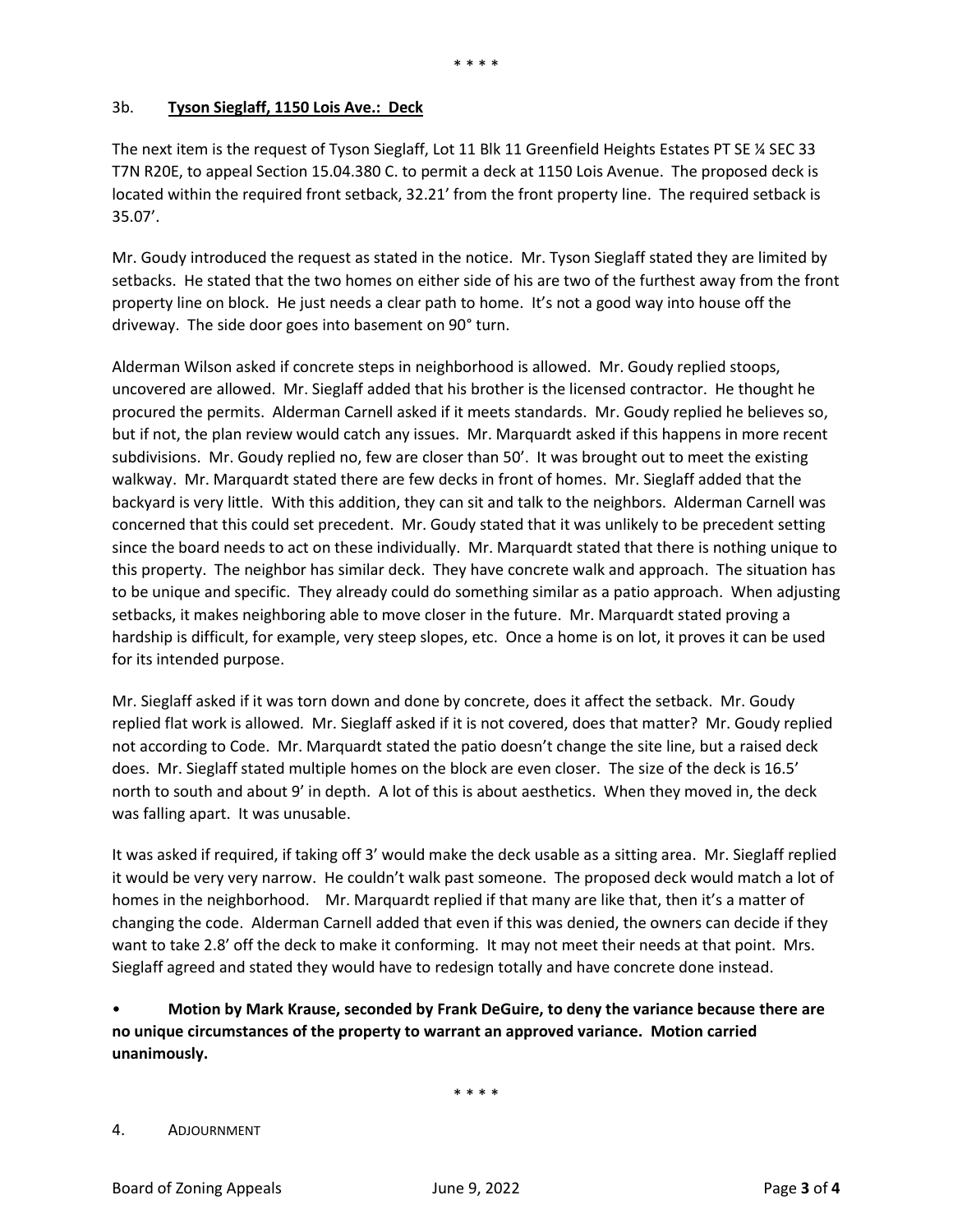### 3b. **Tyson Sieglaff, 1150 Lois Ave.: Deck**

The next item is the request of Tyson Sieglaff, Lot 11 Blk 11 Greenfield Heights Estates PT SE ¼ SEC 33 T7N R20E, to appeal Section 15.04.380 C. to permit a deck at 1150 Lois Avenue. The proposed deck is located within the required front setback, 32.21' from the front property line. The required setback is 35.07'.

Mr. Goudy introduced the request as stated in the notice. Mr. Tyson Sieglaff stated they are limited by setbacks. He stated that the two homes on either side of his are two of the furthest away from the front property line on block. He just needs a clear path to home. It's not a good way into house off the driveway. The side door goes into basement on 90° turn.

Alderman Wilson asked if concrete steps in neighborhood is allowed. Mr. Goudy replied stoops, uncovered are allowed. Mr. Sieglaff added that his brother is the licensed contractor. He thought he procured the permits. Alderman Carnell asked if it meets standards. Mr. Goudy replied he believes so, but if not, the plan review would catch any issues. Mr. Marquardt asked if this happens in more recent subdivisions. Mr. Goudy replied no, few are closer than 50'. It was brought out to meet the existing walkway. Mr. Marquardt stated there are few decks in front of homes. Mr. Sieglaff added that the backyard is very little. With this addition, they can sit and talk to the neighbors. Alderman Carnell was concerned that this could set precedent. Mr. Goudy stated that it was unlikely to be precedent setting since the board needs to act on these individually. Mr. Marquardt stated that there is nothing unique to this property. The neighbor has similar deck. They have concrete walk and approach. The situation has to be unique and specific. They already could do something similar as a patio approach. When adjusting setbacks, it makes neighboring able to move closer in the future. Mr. Marquardt stated proving a hardship is difficult, for example, very steep slopes, etc. Once a home is on lot, it proves it can be used for its intended purpose.

Mr. Sieglaff asked if it was torn down and done by concrete, does it affect the setback. Mr. Goudy replied flat work is allowed. Mr. Sieglaff asked if it is not covered, does that matter? Mr. Goudy replied not according to Code. Mr. Marquardt stated the patio doesn't change the site line, but a raised deck does. Mr. Sieglaff stated multiple homes on the block are even closer. The size of the deck is 16.5' north to south and about 9' in depth. A lot of this is about aesthetics. When they moved in, the deck was falling apart. It was unusable.

It was asked if required, if taking off 3' would make the deck usable as a sitting area. Mr. Sieglaff replied it would be very very narrow. He couldn't walk past someone. The proposed deck would match a lot of homes in the neighborhood. Mr. Marquardt replied if that many are like that, then it's a matter of changing the code. Alderman Carnell added that even if this was denied, the owners can decide if they want to take 2.8' off the deck to make it conforming. It may not meet their needs at that point. Mrs. Sieglaff agreed and stated they would have to redesign totally and have concrete done instead.

• **Motion by Mark Krause, seconded by Frank DeGuire, to deny the variance because there are no unique circumstances of the property to warrant an approved variance. Motion carried unanimously.**

\* \* \* \*

#### 4. ADJOURNMENT